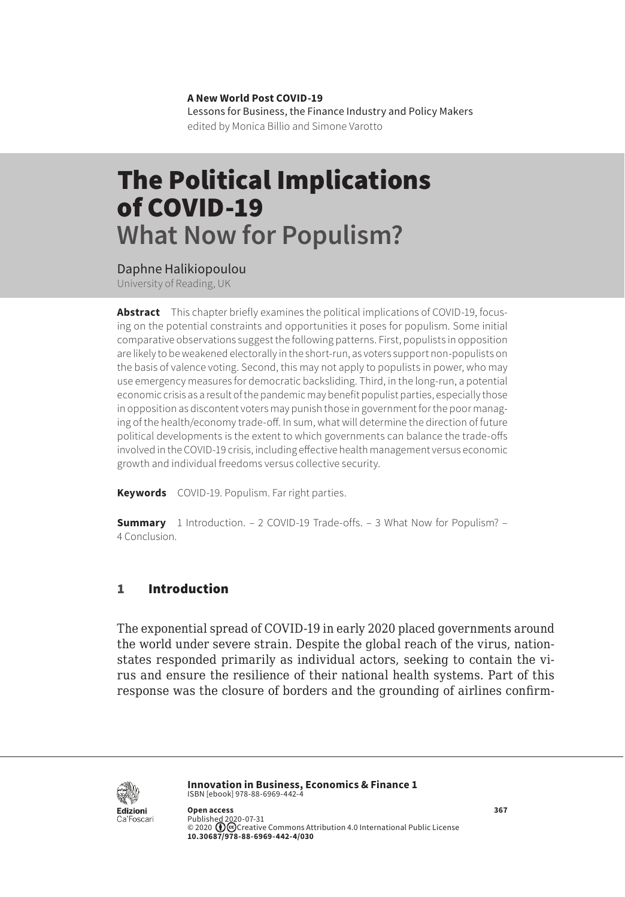**A New World Post COVID-19** Lessons for Business, the Finance Industry and Policy Makers edited by Monica Billio and Simone Varotto

# The Political Implications of COVID-19 **What Now for Populism?**

Daphne Halikiopoulou

University of Reading, UK

**Abstract** This chapter briefly examines the political implications of COVID-19, focusing on the potential constraints and opportunities it poses for populism. Some initial comparative observations suggest the following patterns. First, populists in opposition are likely to be weakened electorally in the short-run, as voters support non-populists on the basis of valence voting. Second, this may not apply to populists in power, who may use emergency measures for democratic backsliding. Third, in the long-run, a potential economic crisis as a result of the pandemic may benefit populist parties, especially those in opposition as discontent voters may punish those in government for the poor managing of the health/economy trade-off. In sum, what will determine the direction of future political developments is the extent to which governments can balance the trade-offs involved in the COVID-19 crisis, including effective health management versus economic growth and individual freedoms versus collective security.

**Keywords** COVID-19. Populism. Far right parties.

**Summary** [1 Introduction.](#page-1-0) – [2 COVID-19 Trade-offs.](#page-1-0) – [3 What Now for Populism?](#page-2-0) – 4 [Conclusion.](#page-4-0)

## 1 Introduction

The exponential spread of COVID-19 in early 2020 placed governments around the world under severe strain. Despite the global reach of the virus, nationstates responded primarily as individual actors, seeking to contain the virus and ensure the resilience of their national health systems. Part of this response was the closure of borders and the grounding of airlines confirm-



**Innovation in Business, Economics & Finance 1** ISBN [ebook] 978-88-6969-442-4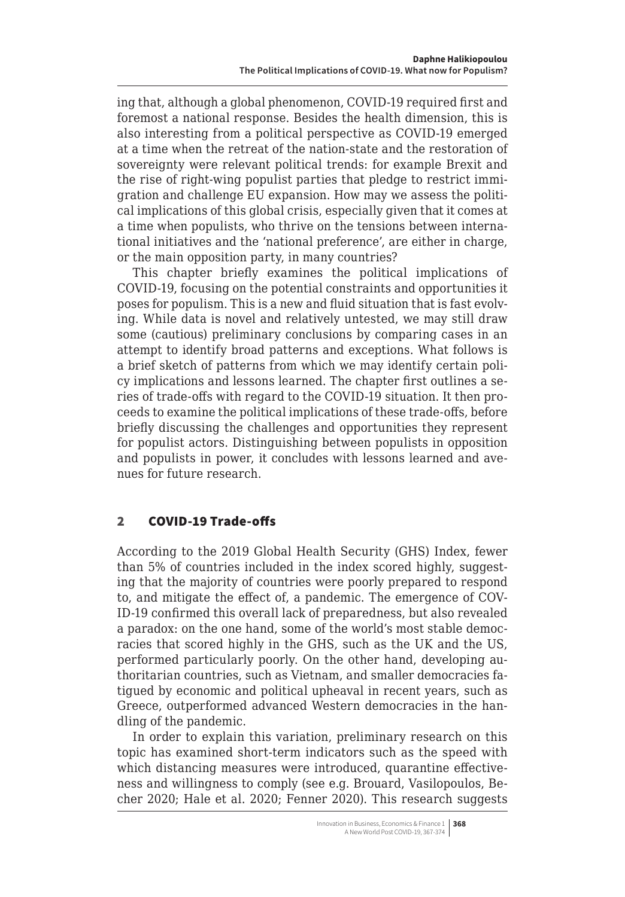<span id="page-1-0"></span>ing that, although a global phenomenon, COVID-19 required first and foremost a national response. Besides the health dimension, this is also interesting from a political perspective as COVID-19 emerged at a time when the retreat of the nation-state and the restoration of sovereignty were relevant political trends: for example Brexit and the rise of right-wing populist parties that pledge to restrict immigration and challenge EU expansion. How may we assess the political implications of this global crisis, especially given that it comes at a time when populists, who thrive on the tensions between international initiatives and the 'national preference', are either in charge, or the main opposition party, in many countries?

This chapter briefly examines the political implications of COVID-19, focusing on the potential constraints and opportunities it poses for populism. This is a new and fluid situation that is fast evolving. While data is novel and relatively untested, we may still draw some (cautious) preliminary conclusions by comparing cases in an attempt to identify broad patterns and exceptions. What follows is a brief sketch of patterns from which we may identify certain policy implications and lessons learned. The chapter first outlines a series of trade-offs with regard to the COVID-19 situation. It then proceeds to examine the political implications of these trade-offs, before briefly discussing the challenges and opportunities they represent for populist actors. Distinguishing between populists in opposition and populists in power, it concludes with lessons learned and avenues for future research.

## 2 COVID-19 Trade-offs

According to the 2019 Global Health Security (GHS) Index, fewer than 5% of countries included in the index scored highly, suggesting that the majority of countries were poorly prepared to respond to, and mitigate the effect of, a pandemic. The emergence of COV-ID-19 confirmed this overall lack of preparedness, but also revealed a paradox: on the one hand, some of the world's most stable democracies that scored highly in the GHS, such as the UK and the US, performed particularly poorly. On the other hand, developing authoritarian countries, such as Vietnam, and smaller democracies fatigued by economic and political upheaval in recent years, such as Greece, outperformed advanced Western democracies in the handling of the pandemic.

In order to explain this variation, preliminary research on this topic has examined short-term indicators such as the speed with which distancing measures were introduced, quarantine effectiveness and willingness to comply (see e.g. Brouard, Vasilopoulos, Becher 2020; Hale et al. 2020; Fenner 2020). This research suggests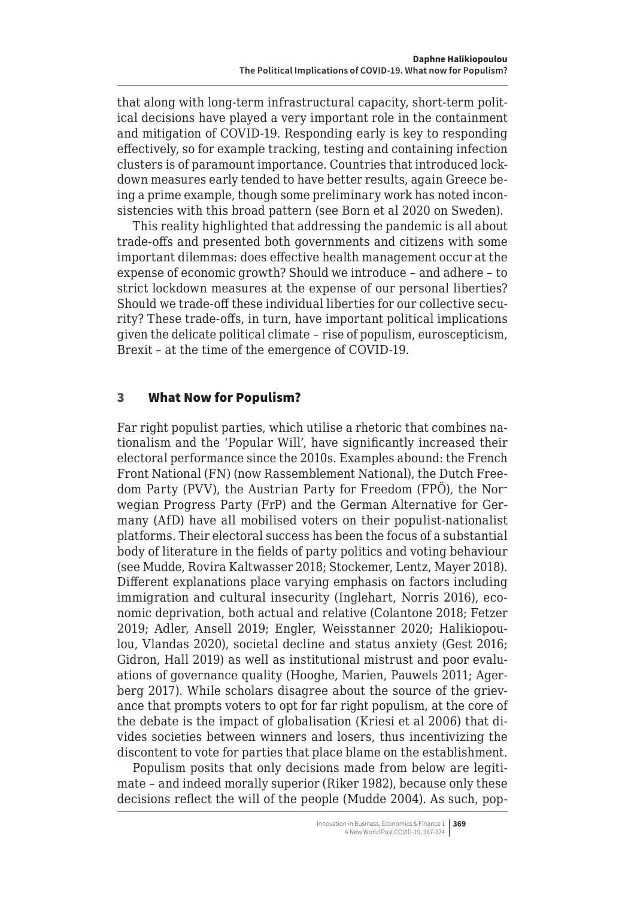<span id="page-2-0"></span>that along with long-term infrastructural capacity, short-term political decisions have played a very important role in the containment and mitigation of COVID-19. Responding early is key to responding effectively, so for example tracking, testing and containing infection clusters is of paramount importance. Countries that introduced lockdown measures early tended to have better results, again Greece being a prime example, though some preliminary work has noted inconsistencies with this broad pattern (see Born et al 2020 on Sweden).

This reality highlighted that addressing the pandemic is all about trade-offs and presented both governments and citizens with some important dilemmas: does effective health management occur at the expense of economic growth? Should we introduce – and adhere – to strict lockdown measures at the expense of our personal liberties? Should we trade-off these individual liberties for our collective security? These trade-offs, in turn, have important political implications given the delicate political climate – rise of populism, euroscepticism, Brexit – at the time of the emergence of COVID-19.

### 3 What Now for Populism?

Far right populist parties, which utilise a rhetoric that combines nationalism and the 'Popular Will', have significantly increased their electoral performance since the 2010s. Examples abound: the French Front National (FN) (now Rassemblement National), the Dutch Freedom Party (PVV), the Austrian Party for Freedom (FPÖ ), the Norwegian Progress Party (FrP) and the German Alternative for Germany (AfD) have all mobilised voters on their populist-nationalist platforms. Their electoral success has been the focus of a substantial body of literature in the fields of party politics and voting behaviour (see Mudde, Rovira Kaltwasser 2018; Stockemer, Lentz, Mayer 2018). Different explanations place varying emphasis on factors including immigration and cultural insecurity (Inglehart, Norris 2016), economic deprivation, both actual and relative (Colantone 2018; Fetzer 2019; Adler, Ansell 2019; Engler, Weisstanner 2020; Halikiopoulou, Vlandas 2020), societal decline and status anxiety (Gest 2016; Gidron, Hall 2019) as well as institutional mistrust and poor evaluations of governance quality (Hooghe, Marien, Pauwels 2011; Agerberg 2017). While scholars disagree about the source of the grievance that prompts voters to opt for far right populism, at the core of the debate is the impact of globalisation (Kriesi et al 2006) that divides societies between winners and losers, thus incentivizing the discontent to vote for parties that place blame on the establishment.

Populism posits that only decisions made from below are legitimate – and indeed morally superior (Riker 1982), because only these decisions reflect the will of the people (Mudde 2004). As such, pop-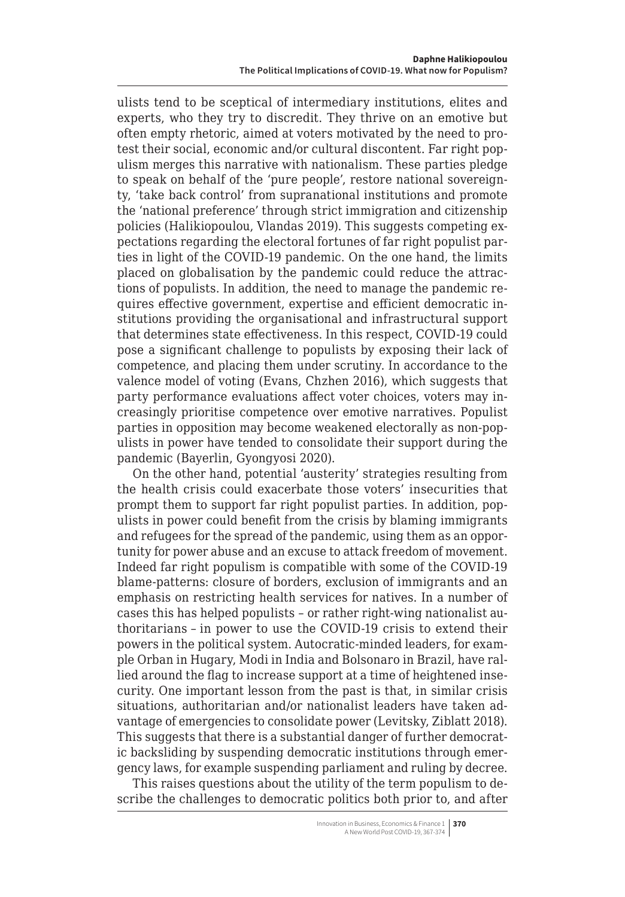ulists tend to be sceptical of intermediary institutions, elites and experts, who they try to discredit. They thrive on an emotive but often empty rhetoric, aimed at voters motivated by the need to protest their social, economic and/or cultural discontent. Far right populism merges this narrative with nationalism. These parties pledge to speak on behalf of the 'pure people', restore national sovereignty, 'take back control' from supranational institutions and promote the 'national preference' through strict immigration and citizenship policies (Halikiopoulou, Vlandas 2019). This suggests competing expectations regarding the electoral fortunes of far right populist parties in light of the COVID-19 pandemic. On the one hand, the limits placed on globalisation by the pandemic could reduce the attractions of populists. In addition, the need to manage the pandemic requires effective government, expertise and efficient democratic institutions providing the organisational and infrastructural support that determines state effectiveness. In this respect, COVID-19 could pose a significant challenge to populists by exposing their lack of competence, and placing them under scrutiny. In accordance to the valence model of voting (Evans, Chzhen 2016), which suggests that party performance evaluations affect voter choices, voters may increasingly prioritise competence over emotive narratives. Populist parties in opposition may become weakened electorally as non-populists in power have tended to consolidate their support during the pandemic (Bayerlin, Gyongyosi 2020).

On the other hand, potential 'austerity' strategies resulting from the health crisis could exacerbate those voters' insecurities that prompt them to support far right populist parties. In addition, populists in power could benefit from the crisis by blaming immigrants and refugees for the spread of the pandemic, using them as an opportunity for power abuse and an excuse to attack freedom of movement. Indeed far right populism is compatible with some of the COVID-19 blame-patterns: closure of borders, exclusion of immigrants and an emphasis on restricting health services for natives. In a number of cases this has helped populists – or rather right-wing nationalist authoritarians – in power to use the COVID-19 crisis to extend their powers in the political system. Autocratic-minded leaders, for example Orban in Hugary, Modi in India and Bolsonaro in Brazil, have rallied around the flag to increase support at a time of heightened insecurity. One important lesson from the past is that, in similar crisis situations, authoritarian and/or nationalist leaders have taken advantage of emergencies to consolidate power (Levitsky, Ziblatt 2018). This suggests that there is a substantial danger of further democratic backsliding by suspending democratic institutions through emergency laws, for example suspending parliament and ruling by decree.

This raises questions about the utility of the term populism to describe the challenges to democratic politics both prior to, and after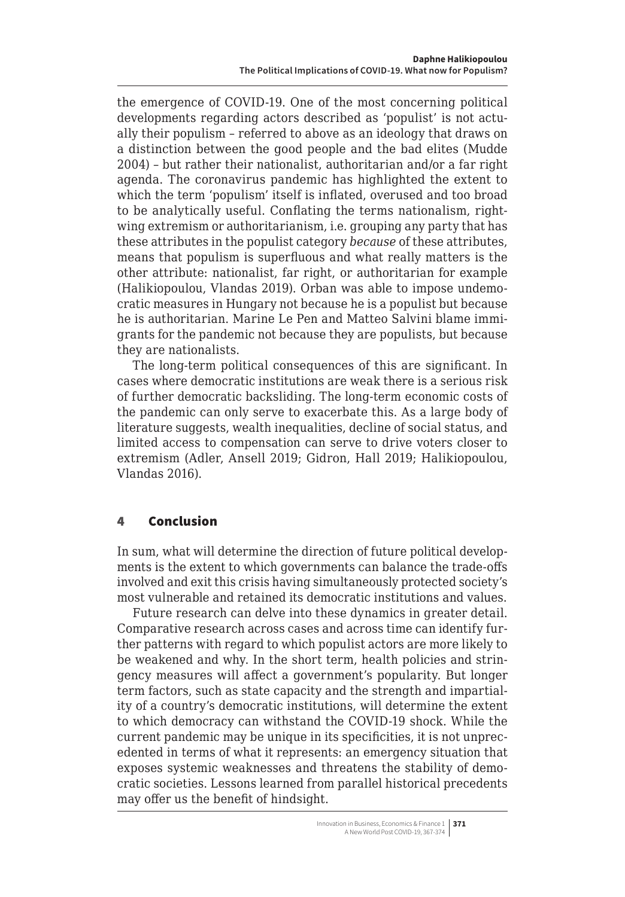<span id="page-4-0"></span>the emergence of COVID-19. One of the most concerning political developments regarding actors described as 'populist' is not actually their populism – referred to above as an ideology that draws on a distinction between the good people and the bad elites (Mudde 2004) – but rather their nationalist, authoritarian and/or a far right agenda. The coronavirus pandemic has highlighted the extent to which the term 'populism' itself is inflated, overused and too broad to be analytically useful. Conflating the terms nationalism, rightwing extremism or authoritarianism, i.e. grouping any party that has these attributes in the populist category *because* of these attributes, means that populism is superfluous and what really matters is the other attribute: nationalist, far right, or authoritarian for example (Halikiopoulou, Vlandas 2019). Orban was able to impose undemocratic measures in Hungary not because he is a populist but because he is authoritarian. Marine Le Pen and Matteo Salvini blame immigrants for the pandemic not because they are populists, but because they are nationalists.

The long-term political consequences of this are significant. In cases where democratic institutions are weak there is a serious risk of further democratic backsliding. The long-term economic costs of the pandemic can only serve to exacerbate this. As a large body of literature suggests, wealth inequalities, decline of social status, and limited access to compensation can serve to drive voters closer to extremism (Adler, Ansell 2019; Gidron, Hall 2019; Halikiopoulou, Vlandas 2016).

### 4 Conclusion

In sum, what will determine the direction of future political developments is the extent to which governments can balance the trade-offs involved and exit this crisis having simultaneously protected society's most vulnerable and retained its democratic institutions and values.

Future research can delve into these dynamics in greater detail. Comparative research across cases and across time can identify further patterns with regard to which populist actors are more likely to be weakened and why. In the short term, health policies and stringency measures will affect a government's popularity. But longer term factors, such as state capacity and the strength and impartiality of a country's democratic institutions, will determine the extent to which democracy can withstand the COVID-19 shock. While the current pandemic may be unique in its specificities, it is not unprecedented in terms of what it represents: an emergency situation that exposes systemic weaknesses and threatens the stability of democratic societies. Lessons learned from parallel historical precedents may offer us the benefit of hindsight.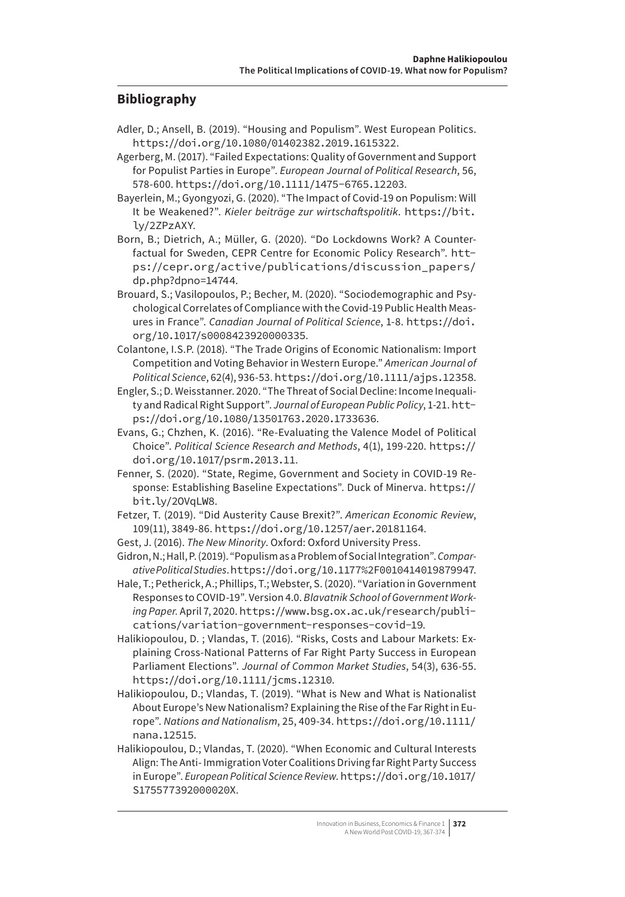#### **Bibliography**

- Adler, D.; Ansell, B. (2019). "Housing and Populism". West European Politics. <https://doi.org/10.1080/01402382.2019.1615322>.
- Agerberg, M. (2017). "Failed Expectations: Quality of Government and Support for Populist Parties in Europe". *European Journal of Political Research*, 56, 578-600. <https://doi.org/10.1111/1475-6765.12203>.
- Bayerlein, M.; Gyongyozi, G. (2020). "The Impact of Covid-19 on Populism: Will It be Weakened?". *Kieler beiträge zur wirtschaftspolitik*. https://bit. ly/2ZPzAXY.
- Born, B.; Dietrich, A.; Müller, G. (2020). "Do Lockdowns Work? A Counterfactual for Sweden, CEPR Centre for Economic Policy Research". [htt](https://cepr.org/active/publications/discussion_papers/dp.php?dpno=14744)[ps://cepr.org/active/publications/discussion\\_papers/](https://cepr.org/active/publications/discussion_papers/dp.php?dpno=14744) [dp.php?dpno=14744](https://cepr.org/active/publications/discussion_papers/dp.php?dpno=14744).
- Brouard, S.; Vasilopoulos, P.; Becher, M. (2020). "Sociodemographic and Psychological Correlates of Compliance with the Covid-19 Public Health Measures in France". *Canadian Journal of Political Science*, 1-8. [https://doi.](https://doi.org/10.1017/s0008423920000335) [org/10.1017/s0008423920000335](https://doi.org/10.1017/s0008423920000335).
- Colantone, I.S.P. (2018). "The Trade Origins of Economic Nationalism: Import Competition and Voting Behavior in Western Europe." *American Journal of Political Science*, 62(4), 936-53. <https://doi.org/10.1111/ajps.12358>.
- Engler, S.; D. Weisstanner. 2020. "The Threat of Social Decline: Income Inequality and Radical Right Support". *Journal of European Public Policy*, 1-21. [htt](https://doi.org/10.1080/13501763.2020.1733636)[ps://doi.org/10.1080/13501763.2020.1733636](https://doi.org/10.1080/13501763.2020.1733636).
- Evans, G.; Chzhen, K. (2016). "Re-Evaluating the Valence Model of Political Choice". *Political Science Research and Methods*, 4(1), 199-220. [https://](https://doi.org/10.1017/psrm.2013.11) [doi.org/10.1017/psrm.2013.11](https://doi.org/10.1017/psrm.2013.11).
- Fenner, S. (2020). "State, Regime, Government and Society in COVID-19 Response: Establishing Baseline Expectations". Duck of Minerva. https:// bit.ly/2OVqLW8.
- Fetzer, T. (2019). "Did Austerity Cause Brexit?". *American Economic Review*, 109(11), 3849-86. <https://doi.org/10.1257/aer.20181164>.
- Gest, J. (2016). *The New Minority*. Oxford: Oxford University Press.
- Gidron, N.; Hall, P. (2019). "Populism as a Problem of Social Integration". *Comparative Political Studies*. <https://doi.org/10.1177%2F0010414019879947>.
- Hale, T.; Petherick, A.; Phillips, T.; Webster, S. (2020). "Variation in Government Responses to COVID-19". Version 4.0. *Blavatnik School of Government Working Paper.* April 7, 2020. [https://www.bsg.ox.ac.uk/research/publi](https://www.bsg.ox.ac.uk/research/publications/variation-government-responses-covid-19)[cations/variation-government-responses-covid-19](https://www.bsg.ox.ac.uk/research/publications/variation-government-responses-covid-19).
- Halikiopoulou, D. ; Vlandas, T. (2016). "Risks, Costs and Labour Markets: Explaining Cross-National Patterns of Far Right Party Success in European Parliament Elections". *Journal of Common Market Studies*, 54(3), 636-55. <https://doi.org/10.1111/jcms.12310>.
- Halikiopoulou, D.; Vlandas, T. (2019). "What is New and What is Nationalist About Europe's New Nationalism? Explaining the Rise of the Far Right in Europe". *Nations and Nationalism*, 25, 409-34. [https://doi.org/10.1111/](https://doi.org/10.1111/nana.12515) [nana.12515](https://doi.org/10.1111/nana.12515).
- Halikiopoulou, D.; Vlandas, T. (2020). "When Economic and Cultural Interests Align: The Anti- Immigration Voter Coalitions Driving far Right Party Success in Europe". *European Political Science Review*. [https://doi.org/10.1017/](https://doi.org/10.1017/S175577392000020X) [S175577392000020X](https://doi.org/10.1017/S175577392000020X).